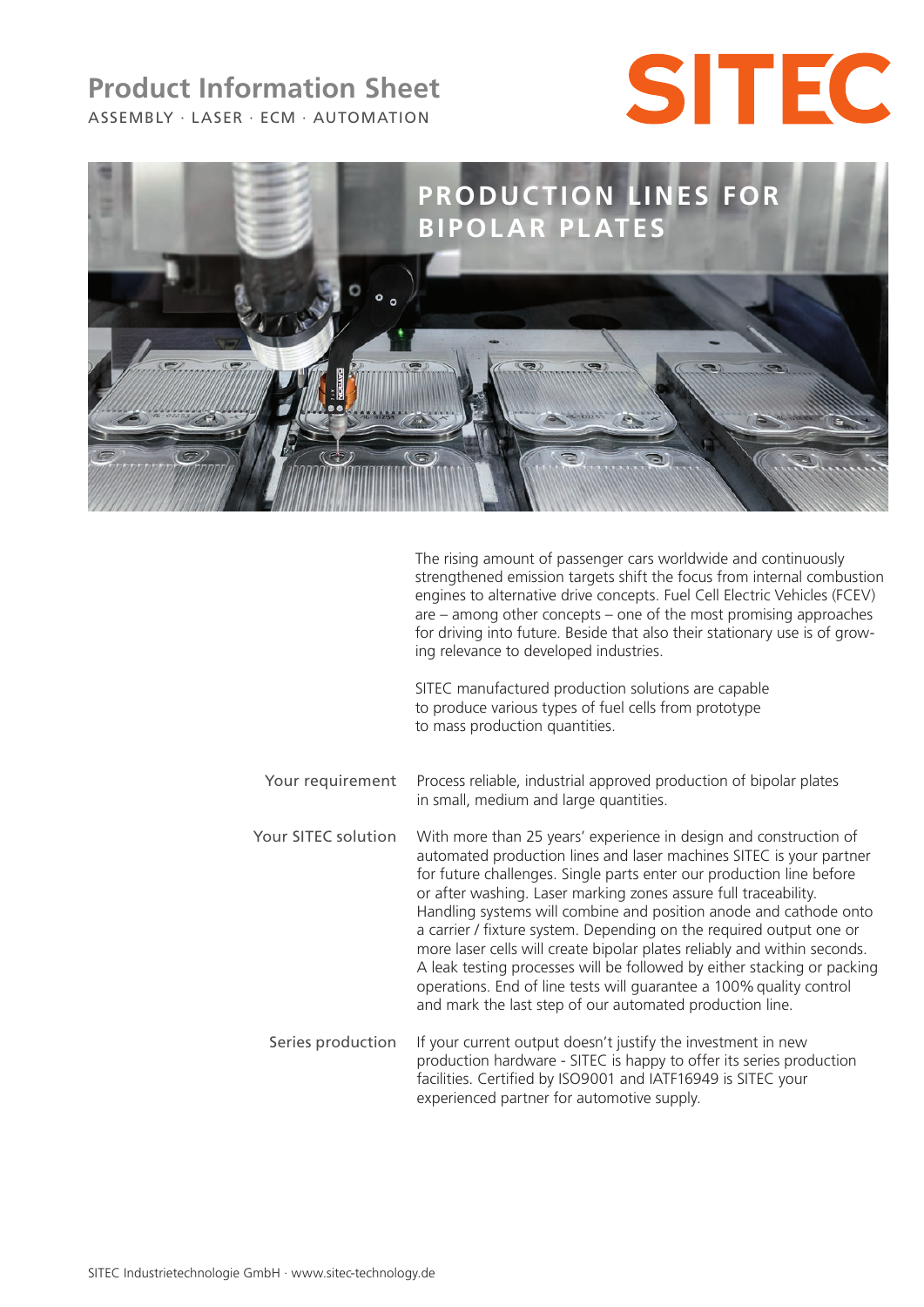# ASSEMBLY · LASER · ECM · AUTOMATION **Product Information Sheet**





The rising amount of passenger cars worldwide and continuously strengthened emission targets shift the focus from internal combustion engines to alternative drive concepts. Fuel Cell Electric Vehicles (FCEV) are – among other concepts – one of the most promising approaches for driving into future. Beside that also their stationary use is of growing relevance to developed industries.

SITEC manufactured production solutions are capable to produce various types of fuel cells from prototype to mass production quantities.

- Your requirement Process reliable, industrial approved production of bipolar plates in small, medium and large quantities.
- Your SITEC solution With more than 25 years' experience in design and construction of automated production lines and laser machines SITEC is your partner for future challenges. Single parts enter our production line before or after washing. Laser marking zones assure full traceability. Handling systems will combine and position anode and cathode onto a carrier / fixture system. Depending on the required output one or more laser cells will create bipolar plates reliably and within seconds. A leak testing processes will be followed by either stacking or packing operations. End of line tests will guarantee a 100%quality control and mark the last step of our automated production line.
	- Series production If your current output doesn't justify the investment in new production hardware - SITEC is happy to offer its series production facilities. Certified by ISO9001 and IATF16949 is SITEC your experienced partner for automotive supply.